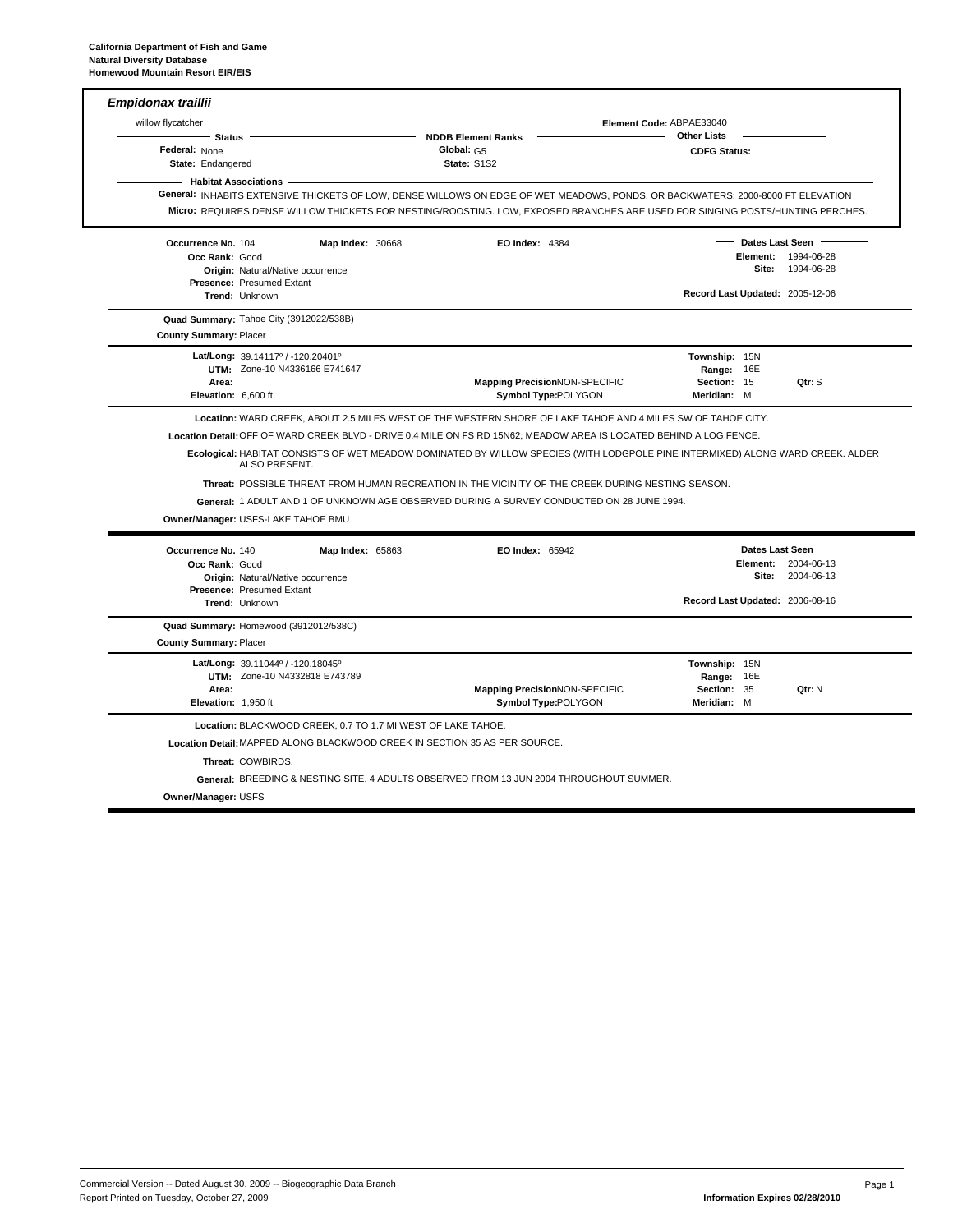| <b>NDDB Element Ranks</b><br>Status ·<br>Federal: None<br>Global: G5<br>State: S1S2<br>State: Endangered<br>- Habitat Associations<br>General: INHABITS EXTENSIVE THICKETS OF LOW, DENSE WILLOWS ON EDGE OF WET MEADOWS, PONDS, OR BACKWATERS; 2000-8000 FT ELEVATION<br>Micro: REQUIRES DENSE WILLOW THICKETS FOR NESTING/ROOSTING. LOW, EXPOSED BRANCHES ARE USED FOR SINGING POSTS/HUNTING PERCHES.<br>Occurrence No. 104<br><b>Map Index: 30668</b><br>Occ Rank: Good<br>Origin: Natural/Native occurrence<br><b>Presence: Presumed Extant</b><br>Trend: Unknown<br>Quad Summary: Tahoe City (3912022/538B)<br><b>County Summary: Placer</b><br>Lat/Long: $39.14117^{\circ}$ / -120.20401°<br>UTM: Zone-10 N4336166 E741647<br>Area:<br>Elevation: 6,600 ft<br>Location: WARD CREEK, ABOUT 2.5 MILES WEST OF THE WESTERN SHORE OF LAKE TAHOE AND 4 MILES SW OF TAHOE CITY.<br>Location Detail: OFF OF WARD CREEK BLVD - DRIVE 0.4 MILE ON FS RD 15N62; MEADOW AREA IS LOCATED BEHIND A LOG FENCE.<br>Ecological: HABITAT CONSISTS OF WET MEADOW DOMINATED BY WILLOW SPECIES (WITH LODGPOLE PINE INTERMIXED) ALONG WARD CREEK. ALDER<br>ALSO PRESENT.<br>Threat: POSSIBLE THREAT FROM HUMAN RECREATION IN THE VICINITY OF THE CREEK DURING NESTING SEASON.<br>General: 1 ADULT AND 1 OF UNKNOWN AGE OBSERVED DURING A SURVEY CONDUCTED ON 28 JUNE 1994.<br>Owner/Manager: USFS-LAKE TAHOE BMU<br>Occurrence No. 140<br><b>Map Index: 65863</b><br>Occ Rank: Good<br>Origin: Natural/Native occurrence<br>Presence: Presumed Extant<br><b>Trend: Unknown</b><br>Quad Summary: Homewood (3912012/538C)<br><b>County Summary: Placer</b> | <b>EO Index: 4384</b><br><b>Mapping PrecisionNON-SPECIFIC</b><br>Symbol Type:POLYGON | <b>Other Lists</b><br><b>CDFG Status:</b><br>Record Last Updated: 2005-12-06<br>Township: 15N<br>Range: 16E<br>Section: 15<br>Meridian: M | - Dates Last Seen | Element: 1994-06-28<br>Site: 1994-06-28<br>Qtr: S |
|------------------------------------------------------------------------------------------------------------------------------------------------------------------------------------------------------------------------------------------------------------------------------------------------------------------------------------------------------------------------------------------------------------------------------------------------------------------------------------------------------------------------------------------------------------------------------------------------------------------------------------------------------------------------------------------------------------------------------------------------------------------------------------------------------------------------------------------------------------------------------------------------------------------------------------------------------------------------------------------------------------------------------------------------------------------------------------------------------------------------------------------------------------------------------------------------------------------------------------------------------------------------------------------------------------------------------------------------------------------------------------------------------------------------------------------------------------------------------------------------------------------------------------------------------------------------------------------------------------------------------------------|--------------------------------------------------------------------------------------|-------------------------------------------------------------------------------------------------------------------------------------------|-------------------|---------------------------------------------------|
|                                                                                                                                                                                                                                                                                                                                                                                                                                                                                                                                                                                                                                                                                                                                                                                                                                                                                                                                                                                                                                                                                                                                                                                                                                                                                                                                                                                                                                                                                                                                                                                                                                          |                                                                                      |                                                                                                                                           |                   |                                                   |
|                                                                                                                                                                                                                                                                                                                                                                                                                                                                                                                                                                                                                                                                                                                                                                                                                                                                                                                                                                                                                                                                                                                                                                                                                                                                                                                                                                                                                                                                                                                                                                                                                                          |                                                                                      |                                                                                                                                           |                   |                                                   |
|                                                                                                                                                                                                                                                                                                                                                                                                                                                                                                                                                                                                                                                                                                                                                                                                                                                                                                                                                                                                                                                                                                                                                                                                                                                                                                                                                                                                                                                                                                                                                                                                                                          |                                                                                      |                                                                                                                                           |                   |                                                   |
|                                                                                                                                                                                                                                                                                                                                                                                                                                                                                                                                                                                                                                                                                                                                                                                                                                                                                                                                                                                                                                                                                                                                                                                                                                                                                                                                                                                                                                                                                                                                                                                                                                          |                                                                                      |                                                                                                                                           |                   |                                                   |
|                                                                                                                                                                                                                                                                                                                                                                                                                                                                                                                                                                                                                                                                                                                                                                                                                                                                                                                                                                                                                                                                                                                                                                                                                                                                                                                                                                                                                                                                                                                                                                                                                                          |                                                                                      |                                                                                                                                           |                   |                                                   |
|                                                                                                                                                                                                                                                                                                                                                                                                                                                                                                                                                                                                                                                                                                                                                                                                                                                                                                                                                                                                                                                                                                                                                                                                                                                                                                                                                                                                                                                                                                                                                                                                                                          |                                                                                      |                                                                                                                                           |                   |                                                   |
|                                                                                                                                                                                                                                                                                                                                                                                                                                                                                                                                                                                                                                                                                                                                                                                                                                                                                                                                                                                                                                                                                                                                                                                                                                                                                                                                                                                                                                                                                                                                                                                                                                          |                                                                                      |                                                                                                                                           |                   |                                                   |
|                                                                                                                                                                                                                                                                                                                                                                                                                                                                                                                                                                                                                                                                                                                                                                                                                                                                                                                                                                                                                                                                                                                                                                                                                                                                                                                                                                                                                                                                                                                                                                                                                                          |                                                                                      |                                                                                                                                           |                   |                                                   |
|                                                                                                                                                                                                                                                                                                                                                                                                                                                                                                                                                                                                                                                                                                                                                                                                                                                                                                                                                                                                                                                                                                                                                                                                                                                                                                                                                                                                                                                                                                                                                                                                                                          |                                                                                      |                                                                                                                                           |                   |                                                   |
|                                                                                                                                                                                                                                                                                                                                                                                                                                                                                                                                                                                                                                                                                                                                                                                                                                                                                                                                                                                                                                                                                                                                                                                                                                                                                                                                                                                                                                                                                                                                                                                                                                          |                                                                                      |                                                                                                                                           |                   |                                                   |
|                                                                                                                                                                                                                                                                                                                                                                                                                                                                                                                                                                                                                                                                                                                                                                                                                                                                                                                                                                                                                                                                                                                                                                                                                                                                                                                                                                                                                                                                                                                                                                                                                                          |                                                                                      |                                                                                                                                           |                   |                                                   |
|                                                                                                                                                                                                                                                                                                                                                                                                                                                                                                                                                                                                                                                                                                                                                                                                                                                                                                                                                                                                                                                                                                                                                                                                                                                                                                                                                                                                                                                                                                                                                                                                                                          |                                                                                      |                                                                                                                                           |                   |                                                   |
|                                                                                                                                                                                                                                                                                                                                                                                                                                                                                                                                                                                                                                                                                                                                                                                                                                                                                                                                                                                                                                                                                                                                                                                                                                                                                                                                                                                                                                                                                                                                                                                                                                          |                                                                                      |                                                                                                                                           |                   |                                                   |
|                                                                                                                                                                                                                                                                                                                                                                                                                                                                                                                                                                                                                                                                                                                                                                                                                                                                                                                                                                                                                                                                                                                                                                                                                                                                                                                                                                                                                                                                                                                                                                                                                                          |                                                                                      |                                                                                                                                           |                   |                                                   |
|                                                                                                                                                                                                                                                                                                                                                                                                                                                                                                                                                                                                                                                                                                                                                                                                                                                                                                                                                                                                                                                                                                                                                                                                                                                                                                                                                                                                                                                                                                                                                                                                                                          |                                                                                      |                                                                                                                                           |                   |                                                   |
|                                                                                                                                                                                                                                                                                                                                                                                                                                                                                                                                                                                                                                                                                                                                                                                                                                                                                                                                                                                                                                                                                                                                                                                                                                                                                                                                                                                                                                                                                                                                                                                                                                          |                                                                                      |                                                                                                                                           |                   |                                                   |
|                                                                                                                                                                                                                                                                                                                                                                                                                                                                                                                                                                                                                                                                                                                                                                                                                                                                                                                                                                                                                                                                                                                                                                                                                                                                                                                                                                                                                                                                                                                                                                                                                                          | EO Index: 65942                                                                      |                                                                                                                                           | Dates Last Seen   |                                                   |
|                                                                                                                                                                                                                                                                                                                                                                                                                                                                                                                                                                                                                                                                                                                                                                                                                                                                                                                                                                                                                                                                                                                                                                                                                                                                                                                                                                                                                                                                                                                                                                                                                                          |                                                                                      |                                                                                                                                           |                   | Element: 2004-06-13                               |
|                                                                                                                                                                                                                                                                                                                                                                                                                                                                                                                                                                                                                                                                                                                                                                                                                                                                                                                                                                                                                                                                                                                                                                                                                                                                                                                                                                                                                                                                                                                                                                                                                                          |                                                                                      |                                                                                                                                           |                   | Site: 2004-06-13                                  |
|                                                                                                                                                                                                                                                                                                                                                                                                                                                                                                                                                                                                                                                                                                                                                                                                                                                                                                                                                                                                                                                                                                                                                                                                                                                                                                                                                                                                                                                                                                                                                                                                                                          |                                                                                      | Record Last Updated: 2006-08-16                                                                                                           |                   |                                                   |
|                                                                                                                                                                                                                                                                                                                                                                                                                                                                                                                                                                                                                                                                                                                                                                                                                                                                                                                                                                                                                                                                                                                                                                                                                                                                                                                                                                                                                                                                                                                                                                                                                                          |                                                                                      |                                                                                                                                           |                   |                                                   |
|                                                                                                                                                                                                                                                                                                                                                                                                                                                                                                                                                                                                                                                                                                                                                                                                                                                                                                                                                                                                                                                                                                                                                                                                                                                                                                                                                                                                                                                                                                                                                                                                                                          |                                                                                      |                                                                                                                                           |                   |                                                   |
| Lat/Long: 39.11044° / -120.18045°                                                                                                                                                                                                                                                                                                                                                                                                                                                                                                                                                                                                                                                                                                                                                                                                                                                                                                                                                                                                                                                                                                                                                                                                                                                                                                                                                                                                                                                                                                                                                                                                        |                                                                                      | Township: 15N                                                                                                                             |                   |                                                   |
| <b>UTM: Zone-10 N4332818 E743789</b>                                                                                                                                                                                                                                                                                                                                                                                                                                                                                                                                                                                                                                                                                                                                                                                                                                                                                                                                                                                                                                                                                                                                                                                                                                                                                                                                                                                                                                                                                                                                                                                                     |                                                                                      | Range: 16E                                                                                                                                |                   |                                                   |
| Area:<br>Elevation: 1,950 ft                                                                                                                                                                                                                                                                                                                                                                                                                                                                                                                                                                                                                                                                                                                                                                                                                                                                                                                                                                                                                                                                                                                                                                                                                                                                                                                                                                                                                                                                                                                                                                                                             | Mapping PrecisionNON-SPECIFIC<br>Symbol Type:POLYGON                                 | Section: 35<br>Meridian: M                                                                                                                |                   | Qtr: V                                            |
| Location: BLACKWOOD CREEK, 0.7 TO 1.7 MI WEST OF LAKE TAHOE.                                                                                                                                                                                                                                                                                                                                                                                                                                                                                                                                                                                                                                                                                                                                                                                                                                                                                                                                                                                                                                                                                                                                                                                                                                                                                                                                                                                                                                                                                                                                                                             |                                                                                      |                                                                                                                                           |                   |                                                   |
| Location Detail: MAPPED ALONG BLACKWOOD CREEK IN SECTION 35 AS PER SOURCE.                                                                                                                                                                                                                                                                                                                                                                                                                                                                                                                                                                                                                                                                                                                                                                                                                                                                                                                                                                                                                                                                                                                                                                                                                                                                                                                                                                                                                                                                                                                                                               |                                                                                      |                                                                                                                                           |                   |                                                   |
| Threat: COWBIRDS.                                                                                                                                                                                                                                                                                                                                                                                                                                                                                                                                                                                                                                                                                                                                                                                                                                                                                                                                                                                                                                                                                                                                                                                                                                                                                                                                                                                                                                                                                                                                                                                                                        |                                                                                      |                                                                                                                                           |                   |                                                   |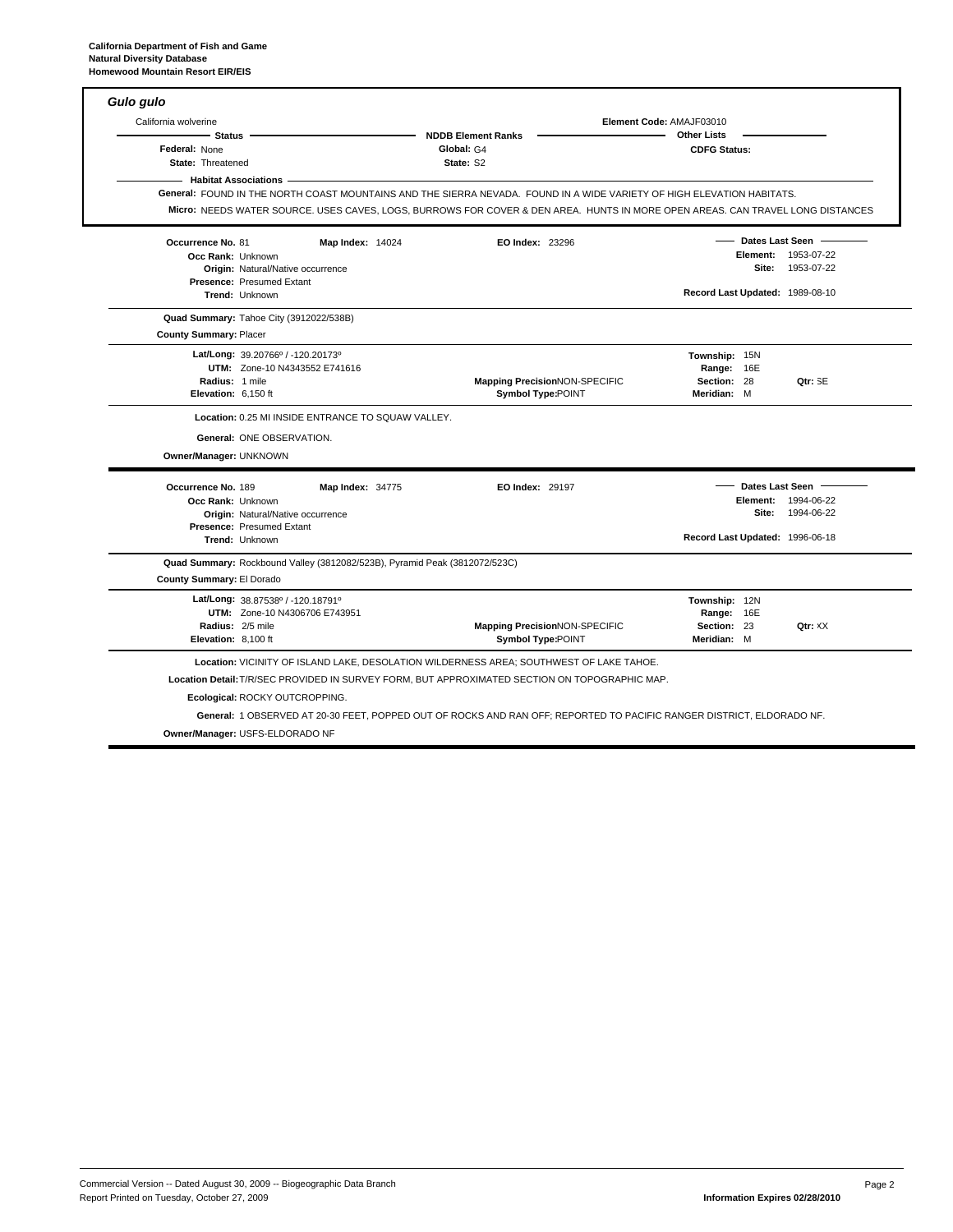| <b>Habitat Associations</b>                 |                                                                                                  |                                                                                                                                                                                                                                                          |                                                                                               |
|---------------------------------------------|--------------------------------------------------------------------------------------------------|----------------------------------------------------------------------------------------------------------------------------------------------------------------------------------------------------------------------------------------------------------|-----------------------------------------------------------------------------------------------|
|                                             |                                                                                                  | General: FOUND IN THE NORTH COAST MOUNTAINS AND THE SIERRA NEVADA. FOUND IN A WIDE VARIETY OF HIGH ELEVATION HABITATS.<br>Micro: NEEDS WATER SOURCE. USES CAVES, LOGS, BURROWS FOR COVER & DEN AREA. HUNTS IN MORE OPEN AREAS. CAN TRAVEL LONG DISTANCES |                                                                                               |
| Occurrence No. 81                           | <b>Map Index: 14024</b>                                                                          | <b>EO Index: 23296</b>                                                                                                                                                                                                                                   | Dates Last Seen<br>Element: 1953-07-22                                                        |
| Occ Rank: Unknown                           | <b>Origin: Natural/Native occurrence</b><br>Presence: Presumed Extant                            |                                                                                                                                                                                                                                                          | Site: 1953-07-22                                                                              |
| Trend: Unknown                              |                                                                                                  |                                                                                                                                                                                                                                                          | Record Last Updated: 1989-08-10                                                               |
| <b>County Summary: Placer</b>               | Quad Summary: Tahoe City (3912022/538B)                                                          |                                                                                                                                                                                                                                                          |                                                                                               |
| Radius: 1 mile<br>Elevation: 6,150 ft       | Lat/Long: 39.20766° / -120.20173°<br>UTM: Zone-10 N4343552 E741616                               | <b>Mapping PrecisionNON-SPECIFIC</b><br>Symbol Type:POINT                                                                                                                                                                                                | Township: 15N<br>Range: 16E<br>Section: 28<br>Qtr: SE<br>Meridian: M                          |
| Owner/Manager: UNKNOWN                      | Location: 0.25 MI INSIDE ENTRANCE TO SQUAW VALLEY.<br>General: ONE OBSERVATION.                  |                                                                                                                                                                                                                                                          |                                                                                               |
| Occurrence No. 189<br>Occ Rank: Unknown     | <b>Map Index: 34775</b><br>Origin: Natural/Native occurrence<br><b>Presence: Presumed Extant</b> | <b>EO Index: 29197</b>                                                                                                                                                                                                                                   | Dates Last Seen<br>Element: 1994-06-22<br>Site: 1994-06-22<br>Record Last Updated: 1996-06-18 |
| Trend: Unknown<br>County Summary: El Dorado | Quad Summary: Rockbound Valley (3812082/523B), Pyramid Peak (3812072/523C)                       |                                                                                                                                                                                                                                                          |                                                                                               |
| Radius: 2/5 mile<br>Elevation: 8,100 ft     | Lat/Long: 38.87538°/-120.18791°<br>UTM: Zone-10 N4306706 E743951                                 | <b>Mapping PrecisionNON-SPECIFIC</b><br><b>Symbol Type:POINT</b>                                                                                                                                                                                         | Township: 12N<br>Range: 16E<br>Section: 23<br>Qtr: XX<br>Meridian: M                          |

1 OBSERVED AT 20-30 FEET, POPPED OUT OF ROCKS AND RAN OFF; REPORTED TO PACIFIC RANGER DISTRICT, ELDORADO NF. **General:**

**Owner/Manager:** USFS-ELDORADO NF

٦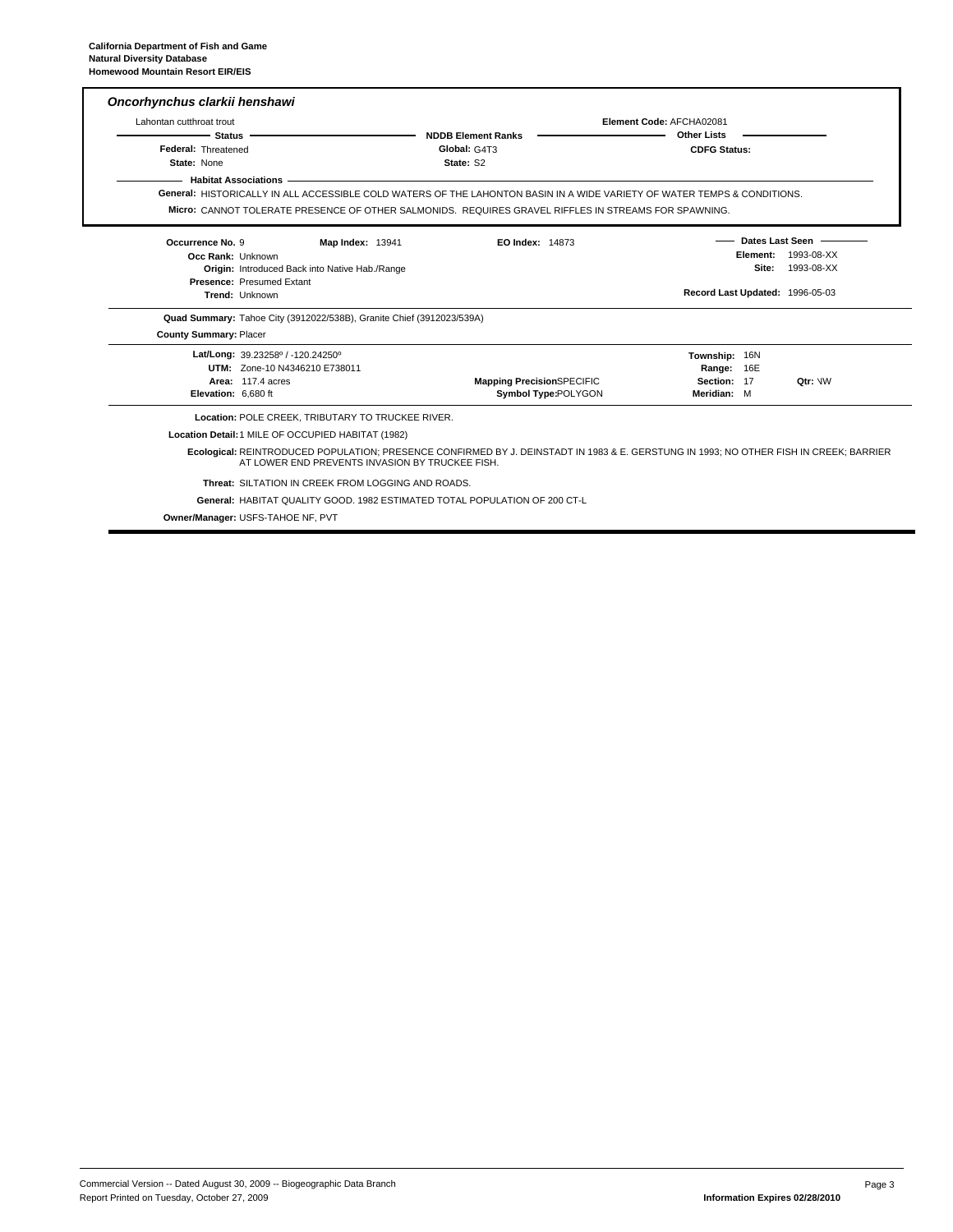| Lahontan cutthroat trout |                                                                       |                                                                                                                          | Element Code: AFCHA02081                                                                                                               |
|--------------------------|-----------------------------------------------------------------------|--------------------------------------------------------------------------------------------------------------------------|----------------------------------------------------------------------------------------------------------------------------------------|
| - Status                 |                                                                       | <b>NDDB Element Ranks</b>                                                                                                | <b>Other Lists</b>                                                                                                                     |
| Federal: Threatened      |                                                                       | Global: G4T3                                                                                                             | <b>CDFG Status:</b>                                                                                                                    |
| State: None              |                                                                       | State: S2                                                                                                                |                                                                                                                                        |
|                          | <b>Habitat Associations -</b>                                         |                                                                                                                          |                                                                                                                                        |
|                          |                                                                       | General: HISTORICALLY IN ALL ACCESSIBLE COLD WATERS OF THE LAHONTON BASIN IN A WIDE VARIETY OF WATER TEMPS & CONDITIONS. |                                                                                                                                        |
|                          |                                                                       | MIC O: CANNOT TOLERATE PRESENCE OF OTHER SALMONIDS. REQUIRES GRAVEL RIFFLES IN STREAMS FOR SPAWNING.                     |                                                                                                                                        |
| Occurrence No. 9         | <b>Map Index: 13941</b>                                               | <b>EO Index: 14873</b>                                                                                                   | Dates Last Seen -                                                                                                                      |
| Occ Rank: Unknown        |                                                                       |                                                                                                                          | 1993-08-XX<br>Element:                                                                                                                 |
|                          | Origin: Introduced Back into Native Hab./Range                        |                                                                                                                          | Site:<br>1993-08-XX                                                                                                                    |
|                          | Presence: Presumed Extant<br>Trend: Unknown                           |                                                                                                                          | Record Last Updated: 1996-05-03                                                                                                        |
|                          |                                                                       |                                                                                                                          |                                                                                                                                        |
|                          | Quad Summary: Tahoe City (3912022/538B), Granite Chief (3912023/539A) |                                                                                                                          |                                                                                                                                        |
| County Summary: Placer   |                                                                       |                                                                                                                          |                                                                                                                                        |
|                          |                                                                       |                                                                                                                          |                                                                                                                                        |
|                          | Lat/Long: 39.23258° / -120.24250°                                     |                                                                                                                          | Township: 16N                                                                                                                          |
|                          | UTM: Zone-10 N4346210 E738011                                         |                                                                                                                          | Range: 16E                                                                                                                             |
|                          | Area: 117.4 acres                                                     | <b>Mapping PrecisionSPECIFIC</b>                                                                                         | Section: 17<br>Otr: VW                                                                                                                 |
| Elevation: 6,680 ft      |                                                                       | Symbol Type:POLYGON                                                                                                      | Meridian: M                                                                                                                            |
|                          | Location: POLE CREEK, TRIBUTARY TO TRUCKEE RIVER.                     |                                                                                                                          |                                                                                                                                        |
|                          | Location Detail: 1 MILE OF OCCUPIED HABITAT (1982)                    |                                                                                                                          |                                                                                                                                        |
|                          |                                                                       | AT LOWER END PREVENTS INVASION BY TRUCKEE FISH.                                                                          | Ecological: REINTRODUCED POPULATION; PRESENCE CONFIRMED BY J. DEINSTADT IN 1983 & E. GERSTUNG IN 1993; NO OTHER FISH IN CREEK; BARRIER |
|                          | Threat: SILTATION IN CREEK FROM LOGGING AND ROADS.                    |                                                                                                                          |                                                                                                                                        |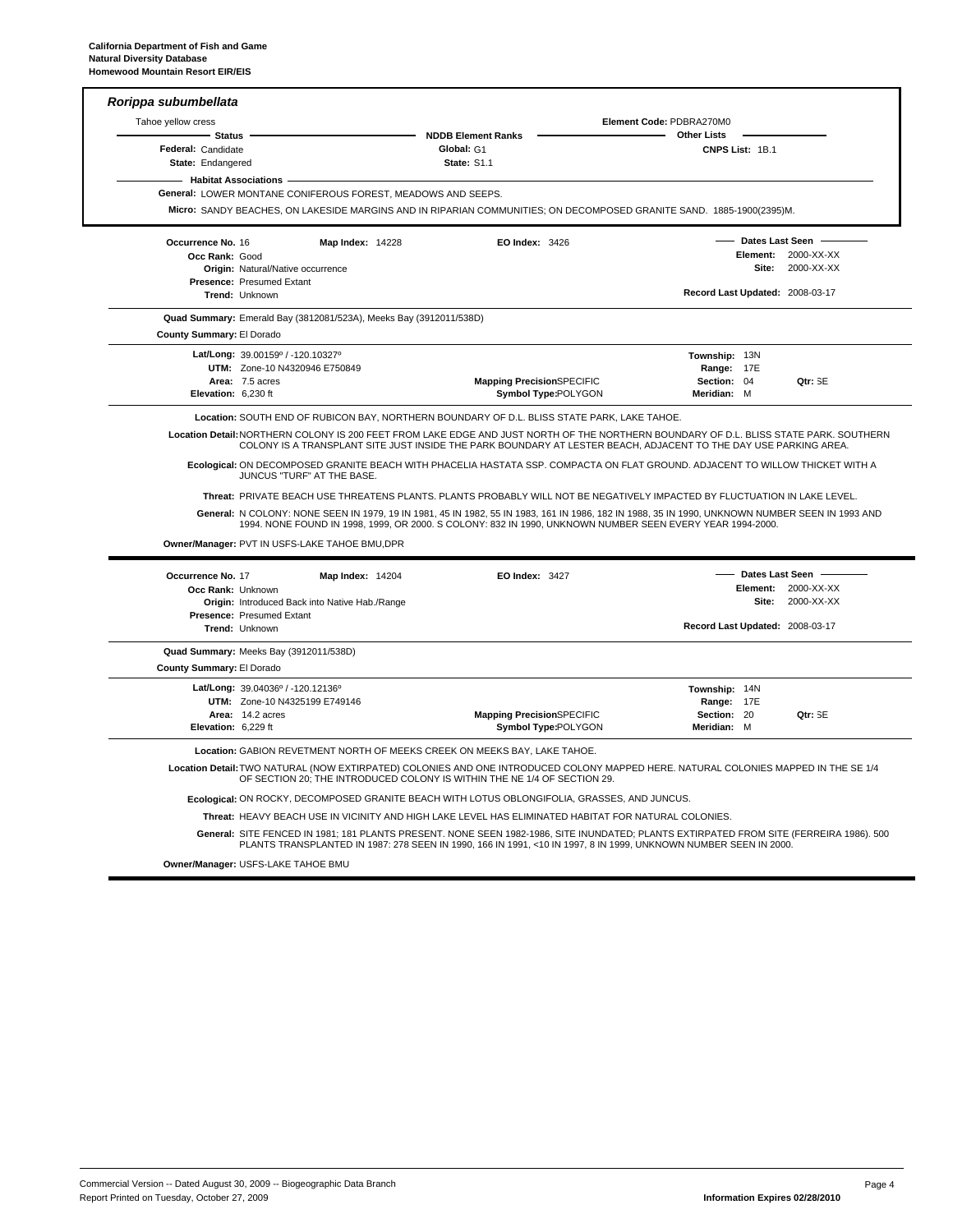| Tahoe yellow cress                                  |                                                |                                                                    |                                                                                              | Element Code: PDBRA270M0                                                                                                                                                                                                                                                                                                                                                       |                                 |                     |
|-----------------------------------------------------|------------------------------------------------|--------------------------------------------------------------------|----------------------------------------------------------------------------------------------|--------------------------------------------------------------------------------------------------------------------------------------------------------------------------------------------------------------------------------------------------------------------------------------------------------------------------------------------------------------------------------|---------------------------------|---------------------|
| - Status<br>Federal: Candidate<br>State: Endangered |                                                |                                                                    | <b>NDDB Element Ranks</b><br>Global: G1<br><b>State: S1.1</b>                                | <b>Other Lists</b>                                                                                                                                                                                                                                                                                                                                                             | CNPS List: 1B.1                 |                     |
| - Habitat Associations                              |                                                |                                                                    |                                                                                              |                                                                                                                                                                                                                                                                                                                                                                                |                                 |                     |
|                                                     |                                                | General: LOWER MONTANE CONIFEROUS FOREST, MEADOWS AND SEEPS.       |                                                                                              |                                                                                                                                                                                                                                                                                                                                                                                |                                 |                     |
|                                                     |                                                |                                                                    |                                                                                              | Micro: SANDY BEACHES, ON LAKESIDE MARGINS AND IN RIPARIAN COMMUNITIES; ON DECOMPOSED GRANITE SAND. 1885-1900(2395)M.                                                                                                                                                                                                                                                           |                                 |                     |
| Occurrence No. 16                                   |                                                | <b>Map Index: 14228</b>                                            | EO Index: 3426                                                                               |                                                                                                                                                                                                                                                                                                                                                                                |                                 | Dates Last Seen     |
| Occ Rank: Good                                      |                                                |                                                                    |                                                                                              |                                                                                                                                                                                                                                                                                                                                                                                |                                 | Element: 2000-XX-XX |
|                                                     | Origin: Natural/Native occurrence              |                                                                    |                                                                                              |                                                                                                                                                                                                                                                                                                                                                                                | Site:                           | 2000-XX-XX          |
|                                                     | <b>Presence: Presumed Extant</b>               |                                                                    |                                                                                              |                                                                                                                                                                                                                                                                                                                                                                                | Record Last Updated: 2008-03-17 |                     |
|                                                     | Trend: Unknown                                 |                                                                    |                                                                                              |                                                                                                                                                                                                                                                                                                                                                                                |                                 |                     |
|                                                     |                                                | Quad Summary: Emerald Bay (3812081/523A), Meeks Bay (3912011/538D) |                                                                                              |                                                                                                                                                                                                                                                                                                                                                                                |                                 |                     |
| County Summary: El Dorado                           |                                                |                                                                    |                                                                                              |                                                                                                                                                                                                                                                                                                                                                                                |                                 |                     |
|                                                     | Lat/Long: 39.00159° / -120.10327°              |                                                                    |                                                                                              |                                                                                                                                                                                                                                                                                                                                                                                | Township: 13N                   |                     |
|                                                     | UTM: Zone-10 N4320946 E750849                  |                                                                    |                                                                                              |                                                                                                                                                                                                                                                                                                                                                                                | Range: 17E                      |                     |
| Elevation: 6,230 ft                                 | Area: 7.5 acres                                |                                                                    | <b>Mapping PrecisionSPECIFIC</b><br>Symbol Type:POLYGON                                      |                                                                                                                                                                                                                                                                                                                                                                                | Section: 04<br>Meridian: M      | Qtr: SE             |
|                                                     |                                                |                                                                    |                                                                                              |                                                                                                                                                                                                                                                                                                                                                                                |                                 |                     |
|                                                     | JUNCUS "TURF" AT THE BASE.                     |                                                                    |                                                                                              | COLONY IS A TRANSPLANT SITE JUST INSIDE THE PARK BOUNDARY AT LESTER BEACH, ADJACENT TO THE DAY USE PARKING AREA.<br>Ecological: ON DECOMPOSED GRANITE BEACH WITH PHACELIA HASTATA SSP. COMPACTA ON FLAT GROUND. ADJACENT TO WILLOW THICKET WITH A<br>Threat: PRIVATE BEACH USE THREATENS PLANTS. PLANTS PROBABLY WILL NOT BE NEGATIVELY IMPACTED BY FLUCTUATION IN LAKE LEVEL. |                                 |                     |
|                                                     |                                                |                                                                    |                                                                                              | General: N COLONY: NONE SEEN IN 1979, 19 IN 1981, 45 IN 1982, 55 IN 1983, 161 IN 1986, 182 IN 1988, 35 IN 1990, UNKNOWN NUMBER SEEN IN 1993 AND<br>1994. NONE FOUND IN 1998, 1999, OR 2000. S COLONY: 832 IN 1990, UNKNOWN NUMBER SEEN EVERY YEAR 1994-2000.                                                                                                                   |                                 |                     |
|                                                     | Owner/Manager: PVT IN USFS-LAKE TAHOE BMU, DPR |                                                                    |                                                                                              |                                                                                                                                                                                                                                                                                                                                                                                |                                 |                     |
| Occurrence No. 17                                   |                                                | <b>Map Index: 14204</b>                                            | <b>EO Index: 3427</b>                                                                        |                                                                                                                                                                                                                                                                                                                                                                                |                                 | Dates Last Seen -   |
| Occ Rank: Unknown                                   |                                                |                                                                    |                                                                                              |                                                                                                                                                                                                                                                                                                                                                                                | Element:                        | 2000-XX-XX          |
|                                                     | Origin: Introduced Back into Native Hab./Range |                                                                    |                                                                                              |                                                                                                                                                                                                                                                                                                                                                                                | Site:                           | 2000-XX-XX          |
|                                                     | Presence: Presumed Extant                      |                                                                    |                                                                                              |                                                                                                                                                                                                                                                                                                                                                                                |                                 |                     |
|                                                     | Trend: Unknown                                 |                                                                    |                                                                                              |                                                                                                                                                                                                                                                                                                                                                                                | Record Last Updated: 2008-03-17 |                     |
|                                                     | Quad Summary: Meeks Bay (3912011/538D)         |                                                                    |                                                                                              |                                                                                                                                                                                                                                                                                                                                                                                |                                 |                     |
| County Summary: El Dorado                           |                                                |                                                                    |                                                                                              |                                                                                                                                                                                                                                                                                                                                                                                |                                 |                     |
|                                                     | Lat/Long: 39.04036° / -120.12136°              |                                                                    |                                                                                              |                                                                                                                                                                                                                                                                                                                                                                                | Township: 14N                   |                     |
|                                                     | UTM: Zone-10 N4325199 E749146                  |                                                                    |                                                                                              |                                                                                                                                                                                                                                                                                                                                                                                | Range: 17E                      |                     |
|                                                     | Area: 14.2 acres                               |                                                                    | <b>Mapping PrecisionSPECIFIC</b>                                                             |                                                                                                                                                                                                                                                                                                                                                                                | Section: 20                     | Qtr: SE             |
| Elevation: 6.229 ft                                 |                                                |                                                                    | Symbol Type:POLYGON                                                                          |                                                                                                                                                                                                                                                                                                                                                                                | Meridian: M                     |                     |
|                                                     |                                                |                                                                    | Location: GABION REVETMENT NORTH OF MEEKS CREEK ON MEEKS BAY, LAKE TAHOE.                    |                                                                                                                                                                                                                                                                                                                                                                                |                                 |                     |
|                                                     |                                                |                                                                    | OF SECTION 20; THE INTRODUCED COLONY IS WITHIN THE NE 1/4 OF SECTION 29.                     | Location Detail: TWO NATURAL (NOW EXTIRPATED) COLONIES AND ONE INTRODUCED COLONY MAPPED HERE. NATURAL COLONIES MAPPED IN THE SE 1/4                                                                                                                                                                                                                                            |                                 |                     |
|                                                     |                                                |                                                                    | Ecological: ON ROCKY, DECOMPOSED GRANITE BEACH WITH LOTUS OBLONGIFOLIA, GRASSES, AND JUNCUS. |                                                                                                                                                                                                                                                                                                                                                                                |                                 |                     |
|                                                     |                                                |                                                                    |                                                                                              | Threat: HEAVY BEACH USE IN VICINITY AND HIGH LAKE LEVEL HAS ELIMINATED HABITAT FOR NATURAL COLONIES.                                                                                                                                                                                                                                                                           |                                 |                     |

**Owner/Manager:** USFS-LAKE TAHOE BMU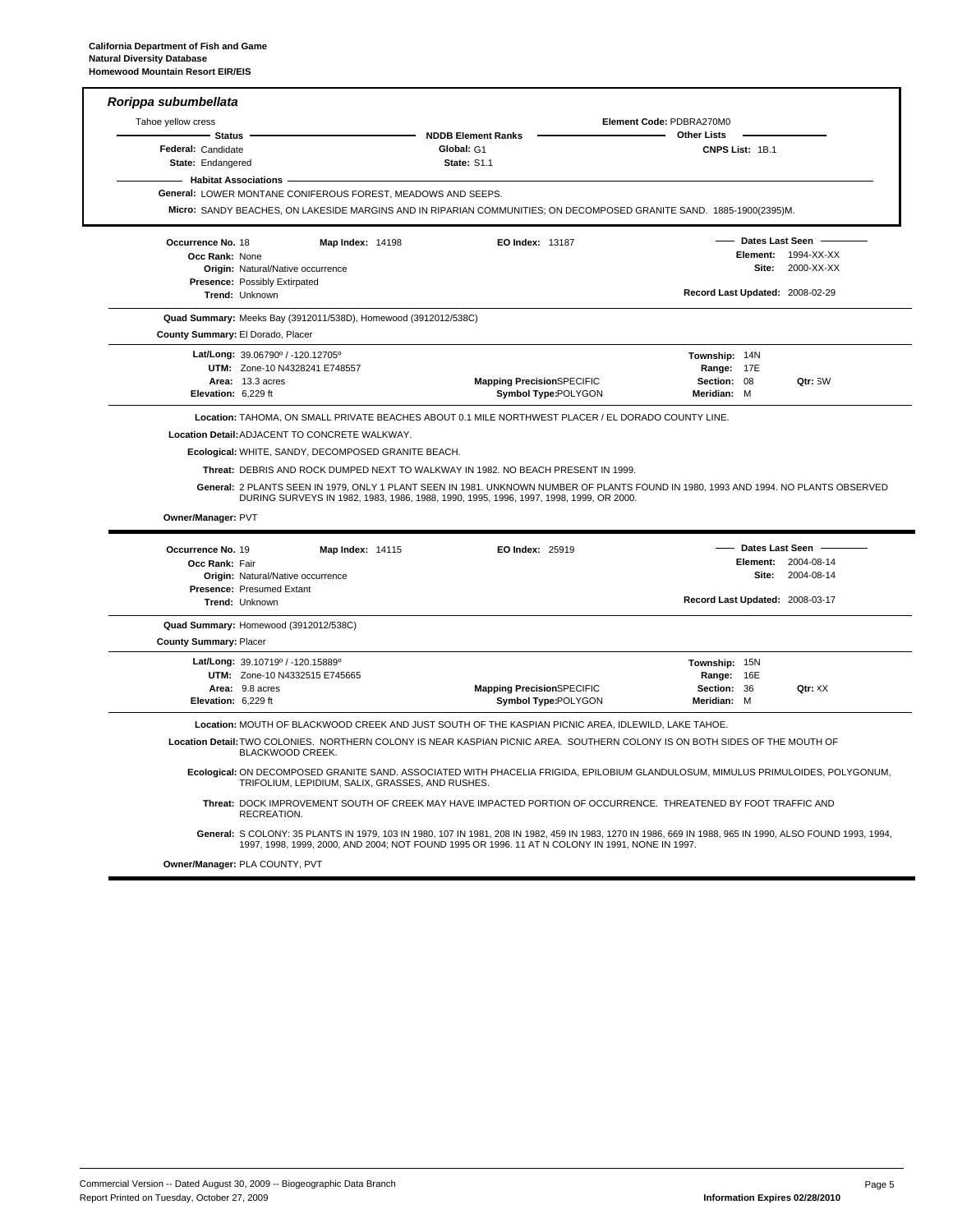| Tahoe yellow cress                                       |                                                                                        |                         |                                                                                                                                                                                                                                                                                                                     | Element Code: PDBRA270M0                                  |                                 |                                   |
|----------------------------------------------------------|----------------------------------------------------------------------------------------|-------------------------|---------------------------------------------------------------------------------------------------------------------------------------------------------------------------------------------------------------------------------------------------------------------------------------------------------------------|-----------------------------------------------------------|---------------------------------|-----------------------------------|
| <b>Status</b><br>Federal: Candidate<br>State: Endangered |                                                                                        |                         | <b>NDDB Element Ranks</b><br>Global: G1<br>State: S1.1                                                                                                                                                                                                                                                              | <b>Other Lists</b>                                        | CNPS List: 1B.1                 |                                   |
| <b>Habitat Associations</b>                              | General: LOWER MONTANE CONIFEROUS FOREST, MEADOWS AND SEEPS.                           |                         | Micro: SANDY BEACHES, ON LAKESIDE MARGINS AND IN RIPARIAN COMMUNITIES; ON DECOMPOSED GRANITE SAND. 1885-1900(2395)M.                                                                                                                                                                                                |                                                           |                                 |                                   |
| Occurrence No. 18<br>Occ Rank: None                      | Origin: Natural/Native occurrence<br>Presence: Possibly Extirpated                     | <b>Map Index: 14198</b> | EO Index: 13187                                                                                                                                                                                                                                                                                                     |                                                           | <b>Dates Last Seen</b><br>Site: | Element: 1994-XX-XX<br>2000-XX-XX |
|                                                          | Trend: Unknown                                                                         |                         |                                                                                                                                                                                                                                                                                                                     | Record Last Updated: 2008-02-29                           |                                 |                                   |
| County Summary: El Dorado, Placer                        | Quad Summary: Meeks Bay (3912011/538D), Homewood (3912012/538C)                        |                         |                                                                                                                                                                                                                                                                                                                     |                                                           |                                 |                                   |
| Elevation: 6,229 ft                                      | Lat/Long: 39.06790° / -120.12705°<br>UTM: Zone-10 N4328241 E748557<br>Area: 13.3 acres |                         | <b>Mapping PrecisionSPECIFIC</b><br>Symbol Type:POLYGON                                                                                                                                                                                                                                                             | Township: 14N<br>Range: 17E<br>Section: 08<br>Meridian: M |                                 | Qtr: SW                           |
|                                                          | Ecological: WHITE, SANDY, DECOMPOSED GRANITE BEACH.                                    |                         |                                                                                                                                                                                                                                                                                                                     |                                                           |                                 |                                   |
|                                                          |                                                                                        |                         | Threat: DEBRIS AND ROCK DUMPED NEXT TO WALKWAY IN 1982. NO BEACH PRESENT IN 1999.<br>General: 2 PLANTS SEEN IN 1979, ONLY 1 PLANT SEEN IN 1981. UNKNOWN NUMBER OF PLANTS FOUND IN 1980, 1993 AND 1994. NO PLANTS OBSERVED<br>DURING SURVEYS IN 1982, 1983, 1986, 1988, 1990, 1995, 1996, 1997, 1998, 1999, OR 2000. |                                                           |                                 |                                   |
| Owner/Manager: PVT                                       |                                                                                        |                         |                                                                                                                                                                                                                                                                                                                     |                                                           |                                 |                                   |
| Occurrence No. 19<br>Occ Rank: Fair                      | <b>Origin: Natural/Native occurrence</b>                                               | <b>Map Index: 14115</b> | <b>EO Index: 25919</b>                                                                                                                                                                                                                                                                                              |                                                           | Dates Last Seen<br>Site:        | Element: 2004-08-14<br>2004-08-14 |
|                                                          | <b>Presence: Presumed Extant</b><br>Trend: Unknown                                     |                         |                                                                                                                                                                                                                                                                                                                     | Record Last Updated: 2008-03-17                           |                                 |                                   |
| <b>County Summary: Placer</b>                            | Quad Summary: Homewood (3912012/538C)                                                  |                         |                                                                                                                                                                                                                                                                                                                     |                                                           |                                 |                                   |
| Elevation: 6,229 ft                                      | Lat/Long: 39.10719° / -120.15889°<br>UTM: Zone-10 N4332515 E745665<br>Area: 9.8 acres  |                         | <b>Mapping PrecisionSPECIFIC</b><br><b>Symbol Type:POLYGON</b>                                                                                                                                                                                                                                                      | Township: 15N<br>Range: 16E<br>Section: 36<br>Meridian: M |                                 | Qtr: XX                           |
|                                                          |                                                                                        |                         | Location: MOUTH OF BLACKWOOD CREEK AND JUST SOUTH OF THE KASPIAN PICNIC AREA, IDLEWILD, LAKE TAHOE.                                                                                                                                                                                                                 |                                                           |                                 |                                   |
|                                                          | BLACKWOOD CREEK.                                                                       |                         | Location Detail: TWO COLONIES. NORTHERN COLONY IS NEAR KASPIAN PICNIC AREA. SOUTHERN COLONY IS ON BOTH SIDES OF THE MOUTH OF                                                                                                                                                                                        |                                                           |                                 |                                   |
|                                                          | TRIFOLIUM, LEPIDIUM, SALIX, GRASSES, AND RUSHES.                                       |                         | Ecological: ON DECOMPOSED GRANITE SAND. ASSOCIATED WITH PHACELIA FRIGIDA, EPILOBIUM GLANDULOSUM, MIMULUS PRIMULOIDES, POLYGONUM,                                                                                                                                                                                    |                                                           |                                 |                                   |
|                                                          | RECREATION.                                                                            |                         | Threat: DOCK IMPROVEMENT SOUTH OF CREEK MAY HAVE IMPACTED PORTION OF OCCURRENCE. THREATENED BY FOOT TRAFFIC AND                                                                                                                                                                                                     |                                                           |                                 |                                   |

**Owner/Manager: PLA COUNTY, PVT**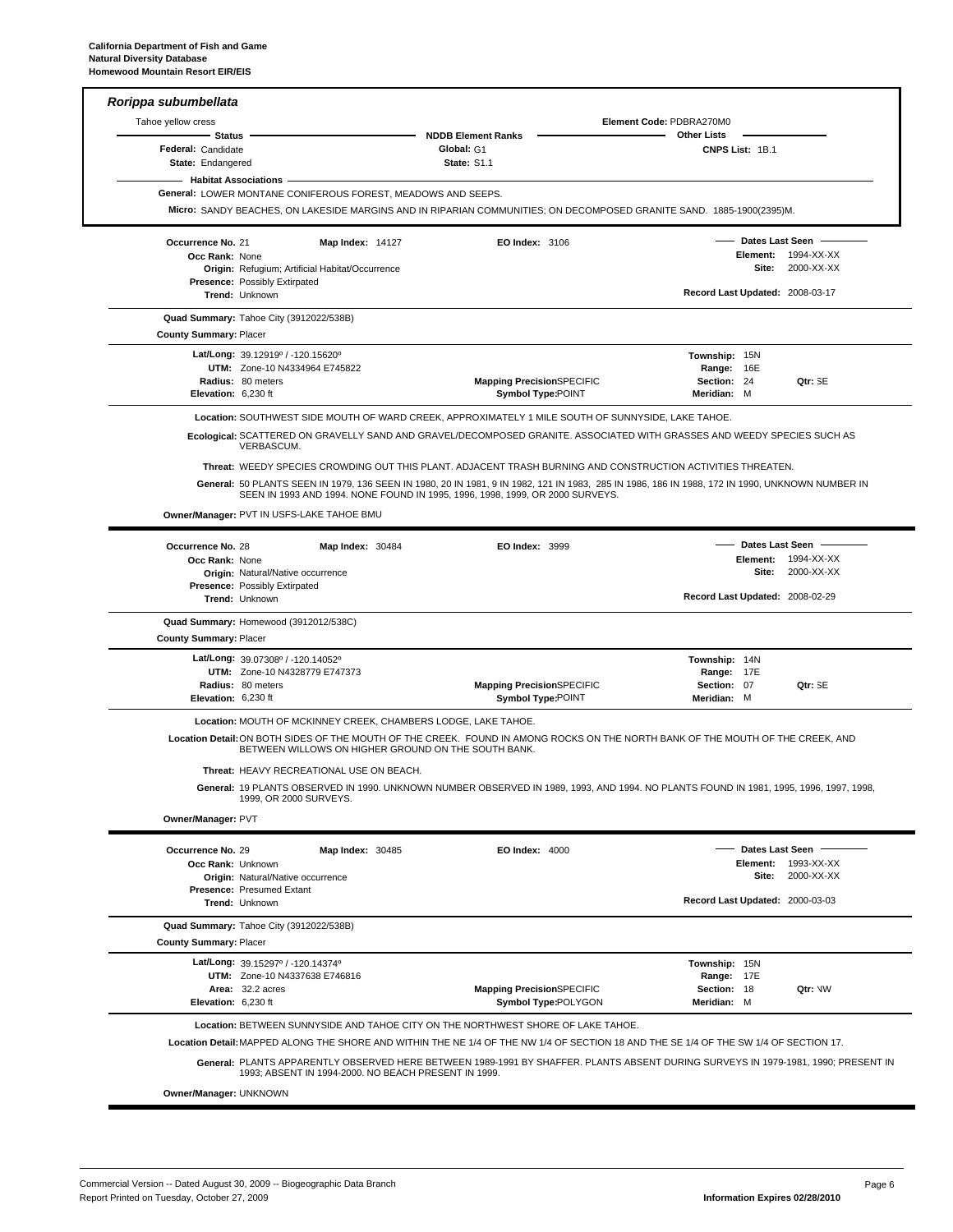|                                         | Rorippa subumbellata                                                |                                                                                                                                       | Element Code: PDBRA270M0                                                                                                                        |
|-----------------------------------------|---------------------------------------------------------------------|---------------------------------------------------------------------------------------------------------------------------------------|-------------------------------------------------------------------------------------------------------------------------------------------------|
| Tahoe yellow cress<br>Status            |                                                                     | <b>NDDB Element Ranks</b>                                                                                                             | <b>Other Lists</b>                                                                                                                              |
| Federal: Candidate<br>State: Endangered |                                                                     | Global: G1<br><b>State: S1.1</b>                                                                                                      | CNPS List: 1B.1                                                                                                                                 |
|                                         | <b>Habitat Associations -</b>                                       |                                                                                                                                       |                                                                                                                                                 |
|                                         | <b>General: LOWER MONTANE CONIFEROUS FOREST, MEADOWS AND SEEPS.</b> |                                                                                                                                       |                                                                                                                                                 |
|                                         |                                                                     | Micro: SANDY BEACHES, ON LAKESIDE MARGINS AND IN RIPARIAN COMMUNITIES; ON DECOMPOSED GRANITE SAND. 1885-1900(2395)M.                  |                                                                                                                                                 |
| Occurrence No. 21                       | <b>Map Index: 14127</b>                                             | <b>EO Index: 3106</b>                                                                                                                 | - Dates Last Seen                                                                                                                               |
| Occ Rank: None                          |                                                                     |                                                                                                                                       | Element: 1994-XX-XX                                                                                                                             |
|                                         | Origin: Refugium; Artificial Habitat/Occurrence                     |                                                                                                                                       | <b>Site: 2000-XX-XX</b>                                                                                                                         |
|                                         | Presence: Possibly Extirpated<br>Trend: Unknown                     |                                                                                                                                       | Record Last Updated: 2008-03-17                                                                                                                 |
|                                         | Quad Summary: Tahoe City (3912022/538B)                             |                                                                                                                                       |                                                                                                                                                 |
| <b>County Summary: Placer</b>           |                                                                     |                                                                                                                                       |                                                                                                                                                 |
|                                         | Lat/Long: 39.12919° / -120.15620°                                   |                                                                                                                                       | Township: 15N                                                                                                                                   |
|                                         | UTM: Zone-10 N4334964 E745822                                       |                                                                                                                                       | Range: 16E                                                                                                                                      |
|                                         | Radius: 80 meters                                                   | <b>Mapping PrecisionSPECIFIC</b>                                                                                                      | Section: 24<br>Qtr: SE                                                                                                                          |
| Elevation: 6,230 ft                     |                                                                     | <b>Symbol Type:POINT</b>                                                                                                              | Meridian: M                                                                                                                                     |
|                                         |                                                                     | Location: SOUTHWEST SIDE MOUTH OF WARD CREEK, APPROXIMATELY 1 MILE SOUTH OF SUNNYSIDE, LAKE TAHOE.                                    |                                                                                                                                                 |
|                                         | VERBASCUM.                                                          | Ecological: SCATTERED ON GRAVELLY SAND AND GRAVEL/DECOMPOSED GRANITE. ASSOCIATED WITH GRASSES AND WEEDY SPECIES SUCH AS               |                                                                                                                                                 |
|                                         |                                                                     | Threat: WEEDY SPECIES CROWDING OUT THIS PLANT. ADJACENT TRASH BURNING AND CONSTRUCTION ACTIVITIES THREATEN.                           |                                                                                                                                                 |
|                                         |                                                                     |                                                                                                                                       | General: 50 PLANTS SEEN IN 1979, 136 SEEN IN 1980, 20 IN 1981, 9 IN 1982, 121 IN 1983, 285 IN 1986, 186 IN 1988, 172 IN 1990, UNKNOWN NUMBER IN |
|                                         |                                                                     | SEEN IN 1993 AND 1994. NONE FOUND IN 1995, 1996, 1998, 1999, OR 2000 SURVEYS.                                                         |                                                                                                                                                 |
|                                         | Owner/Manager: PVT IN USFS-LAKE TAHOE BMU                           |                                                                                                                                       |                                                                                                                                                 |
| Occurrence No. 28                       | Map Index: 30484                                                    | EO Index: 3999                                                                                                                        | Dates Last Seen -                                                                                                                               |
| Occ Rank: None                          |                                                                     |                                                                                                                                       | Element: 1994-XX-XX                                                                                                                             |
|                                         | Origin: Natural/Native occurrence                                   |                                                                                                                                       | <b>Site: 2000-XX-XX</b>                                                                                                                         |
|                                         | <b>Presence: Possibly Extirpated</b><br>Trend: Unknown              |                                                                                                                                       | Record Last Updated: 2008-02-29                                                                                                                 |
|                                         |                                                                     |                                                                                                                                       |                                                                                                                                                 |
| <b>County Summary: Placer</b>           | Quad Summary: Homewood (3912012/538C)                               |                                                                                                                                       |                                                                                                                                                 |
|                                         | Lat/Long: 39.07308° / -120.14052°                                   |                                                                                                                                       | Township: 14N                                                                                                                                   |
|                                         | UTM: Zone-10 N4328779 E747373                                       |                                                                                                                                       | Range: 17E                                                                                                                                      |
|                                         | Radius: 80 meters                                                   | <b>Mapping PrecisionSPECIFIC</b>                                                                                                      | Section: 07<br>Qtr: SE                                                                                                                          |
| Elevation: 6,230 ft                     |                                                                     | <b>Symbol Type:POINT</b>                                                                                                              | Meridian: M                                                                                                                                     |
|                                         | Location: MOUTH OF MCKINNEY CREEK, CHAMBERS LODGE, LAKE TAHOE.      |                                                                                                                                       |                                                                                                                                                 |
|                                         |                                                                     |                                                                                                                                       |                                                                                                                                                 |
|                                         | BETWEEN WILLOWS ON HIGHER GROUND ON THE SOUTH BANK.                 | Location Detail: ON BOTH SIDES OF THE MOUTH OF THE CREEK. FOUND IN AMONG ROCKS ON THE NORTH BANK OF THE MOUTH OF THE CREEK. AND       |                                                                                                                                                 |
|                                         | Threat: HEAVY RECREATIONAL USE ON BEACH.                            |                                                                                                                                       |                                                                                                                                                 |
|                                         |                                                                     |                                                                                                                                       | General: 19 PLANTS OBSERVED IN 1990. UNKNOWN NUMBER OBSERVED IN 1989, 1993, AND 1994. NO PLANTS FOUND IN 1981, 1995, 1996, 1997, 1998,          |
|                                         | 1999, OR 2000 SURVEYS.                                              |                                                                                                                                       |                                                                                                                                                 |
| Owner/Manager: PVT                      |                                                                     |                                                                                                                                       |                                                                                                                                                 |
| Occurrence No. 29                       |                                                                     | <b>EO Index: 4000</b>                                                                                                                 | Dates Last Seen                                                                                                                                 |
| Occ Rank: Unknown                       | <b>Map Index: 30485</b>                                             |                                                                                                                                       | Element: 1993-XX-XX                                                                                                                             |
|                                         | Origin: Natural/Native occurrence                                   |                                                                                                                                       | 2000-XX-XX<br>Site:                                                                                                                             |
|                                         | Presence: Presumed Extant                                           |                                                                                                                                       |                                                                                                                                                 |
|                                         | Trend: Unknown                                                      |                                                                                                                                       | Record Last Updated: 2000-03-03                                                                                                                 |
|                                         | Quad Summary: Tahoe City (3912022/538B)                             |                                                                                                                                       |                                                                                                                                                 |
| <b>County Summary: Placer</b>           |                                                                     |                                                                                                                                       |                                                                                                                                                 |
|                                         | Lat/Long: 39.15297° / -120.14374°                                   |                                                                                                                                       | Township: 15N                                                                                                                                   |
|                                         | UTM: Zone-10 N4337638 E746816                                       |                                                                                                                                       | Range: 17E                                                                                                                                      |
|                                         | Area: 32.2 acres                                                    | <b>Mapping PrecisionSPECIFIC</b>                                                                                                      | Qtr: VW<br>Section: 18                                                                                                                          |
| Elevation: 6,230 ft                     |                                                                     | Symbol Type:POLYGON                                                                                                                   | Meridian: M                                                                                                                                     |
|                                         |                                                                     | Location: BETWEEN SUNNYSIDE AND TAHOE CITY ON THE NORTHWEST SHORE OF LAKE TAHOE.                                                      |                                                                                                                                                 |
|                                         |                                                                     | Location Detail: MAPPED ALONG THE SHORE AND WITHIN THE NE 1/4 OF THE NW 1/4 OF SECTION 18 AND THE SE 1/4 OF THE SW 1/4 OF SECTION 17. |                                                                                                                                                 |

**Owner/Manager: UNKNOWN**